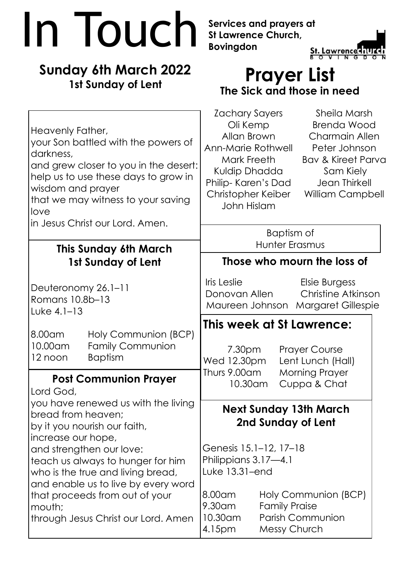## **In Touch** Services and prayers at<br>Bovingdon<br>Strummer Church, **St Lawrence Church, Bovingdon TNGDO Sunday 6th March 2022 Prayer List 1st Sunday of Lent The Sick and those in need**

| Heavenly Father,<br>your Son battled with the powers of<br>darkness,<br>and grew closer to you in the desert:<br>help us to use these days to grow in<br>wisdom and prayer<br>that we may witness to your saving<br>love<br>in Jesus Christ our Lord. Amen. |                                                                   | Zachary Sayers<br>Oli Kemp<br>Allan Brown<br>Ann-Marie Rothwell<br>Mark Freeth<br>Kuldip Dhadda<br>Philip- Karen's Dad<br>Christopher Keiber<br>John Hislam |                      | Sheila Marsh<br><b>Brenda Wood</b><br><b>Charmain Allen</b><br>Peter Johnson<br><b>Bav &amp; Kireet Parva</b><br>Sam Kiely<br>Jean Thirkell<br>William Campbell |  |
|-------------------------------------------------------------------------------------------------------------------------------------------------------------------------------------------------------------------------------------------------------------|-------------------------------------------------------------------|-------------------------------------------------------------------------------------------------------------------------------------------------------------|----------------------|-----------------------------------------------------------------------------------------------------------------------------------------------------------------|--|
|                                                                                                                                                                                                                                                             |                                                                   | Baptism of<br>Hunter Erasmus                                                                                                                                |                      |                                                                                                                                                                 |  |
| <b>This Sunday 6th March</b><br>1st Sunday of Lent                                                                                                                                                                                                          |                                                                   | Those who mourn the loss of                                                                                                                                 |                      |                                                                                                                                                                 |  |
| Deuteronomy 26.1-11<br>Romans 10.8b-13<br>Luke $4.1-13$                                                                                                                                                                                                     |                                                                   | Iris Leslie<br>Donovan Allen<br>Maureen Johnson                                                                                                             |                      | Elsie Burgess<br><b>Christine Atkinson</b><br><b>Margaret Gillespie</b>                                                                                         |  |
| 8.00am<br>10.00am<br>12 noon                                                                                                                                                                                                                                | Holy Communion (BCP)<br><b>Family Communion</b><br><b>Baptism</b> | 7.30pm<br>Wed 12.30pm                                                                                                                                       |                      | This week at St Lawrence:<br><b>Prayer Course</b><br>Lent Lunch (Hall)                                                                                          |  |
| <b>Post Communion Prayer</b><br>Lord God,                                                                                                                                                                                                                   |                                                                   | Thurs 9.00am<br>10.30am                                                                                                                                     |                      | <b>Morning Prayer</b><br>Cuppa & Chat                                                                                                                           |  |
| you have renewed us with the living<br>bread from heaven;<br>by it you nourish our faith,<br>increase our hope,<br>and strengthen our love:                                                                                                                 |                                                                   | <b>Next Sunday 13th March</b><br>2nd Sunday of Lent<br>Genesis 15.1–12, 17–18                                                                               |                      |                                                                                                                                                                 |  |
| teach us always to hunger for him<br>who is the true and living bread,<br>and enable us to live by every word<br>that proceeds from out of your<br>mouth;<br>through Jesus Christ our Lord. Amen                                                            |                                                                   | Philippians 3.17-4.1<br>Luke 13.31-end<br>8.00 am<br>9.30am<br>10.30am                                                                                      | <b>Family Praise</b> | Holy Communion (BCP)<br><b>Parish Communion</b>                                                                                                                 |  |

4.15pm Messy Church